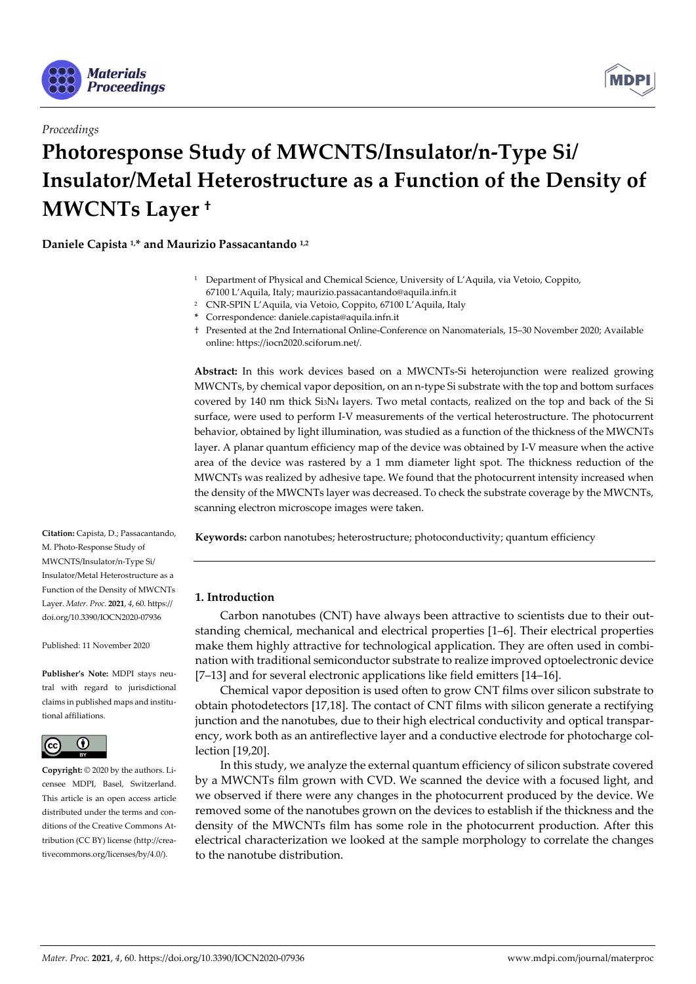



*Proceedings* 

# **Photoresponse Study of MWCNTS/Insulator/n-Type Si/ Insulator/Metal Heterostructure as a Function of the Density of MWCNTs Layer †**

**Daniele Capista 1,\* and Maurizio Passacantando 1,2** 

- 1 Department of Physical and Chemical Science, University of L'Aquila, via Vetoio, Coppito, 67100 L'Aquila, Italy; maurizio.passacantando@aquila.infn.it
- 2 CNR-SPIN L'Aquila, via Vetoio, Coppito, 67100 L'Aquila, Italy
- **\*** Correspondence: daniele.capista@aquila.infn.it
- † Presented at the 2nd International Online-Conference on Nanomaterials, 15–30 November 2020; Available online: https://iocn2020.sciforum.net/.

**Abstract:** In this work devices based on a MWCNTs-Si heterojunction were realized growing MWCNTs, by chemical vapor deposition, on an n-type Si substrate with the top and bottom surfaces covered by 140 nm thick Si3N4 layers. Two metal contacts, realized on the top and back of the Si surface, were used to perform I-V measurements of the vertical heterostructure. The photocurrent behavior, obtained by light illumination, was studied as a function of the thickness of the MWCNTs layer. A planar quantum efficiency map of the device was obtained by I-V measure when the active area of the device was rastered by a 1 mm diameter light spot. The thickness reduction of the MWCNTs was realized by adhesive tape. We found that the photocurrent intensity increased when the density of the MWCNTs layer was decreased. To check the substrate coverage by the MWCNTs, scanning electron microscope images were taken.

**Keywords:** carbon nanotubes; heterostructure; photoconductivity; quantum efficiency

# **1. Introduction**

Carbon nanotubes (CNT) have always been attractive to scientists due to their outstanding chemical, mechanical and electrical properties [1–6]. Their electrical properties make them highly attractive for technological application. They are often used in combination with traditional semiconductor substrate to realize improved optoelectronic device [7–13] and for several electronic applications like field emitters [14–16].

Chemical vapor deposition is used often to grow CNT films over silicon substrate to obtain photodetectors [17,18]. The contact of CNT films with silicon generate a rectifying junction and the nanotubes, due to their high electrical conductivity and optical transparency, work both as an antireflective layer and a conductive electrode for photocharge collection [19,20].

In this study, we analyze the external quantum efficiency of silicon substrate covered by a MWCNTs film grown with CVD. We scanned the device with a focused light, and we observed if there were any changes in the photocurrent produced by the device. We removed some of the nanotubes grown on the devices to establish if the thickness and the density of the MWCNTs film has some role in the photocurrent production. After this electrical characterization we looked at the sample morphology to correlate the changes to the nanotube distribution.

**Citation:** Capista, D.; Passacantando, M. Photo-Response Study of MWCNTS/Insulator/n-Type Si/ Insulator/Metal Heterostructure as a Function of the Density of MWCNTs Layer. *Mater. Proc.* **2021**, *4*, 60. https:// doi.org/10.3390/IOCN2020-07936

Published: 11 November 2020

**Publisher's Note:** MDPI stays neutral with regard to jurisdictional claims in published maps and institutional affiliations.



**Copyright:** © 2020 by the authors. Licensee MDPI, Basel, Switzerland. This article is an open access article distributed under the terms and conditions of the Creative Commons Attribution (CC BY) license (http://creativecommons.org/licenses/by/4.0/).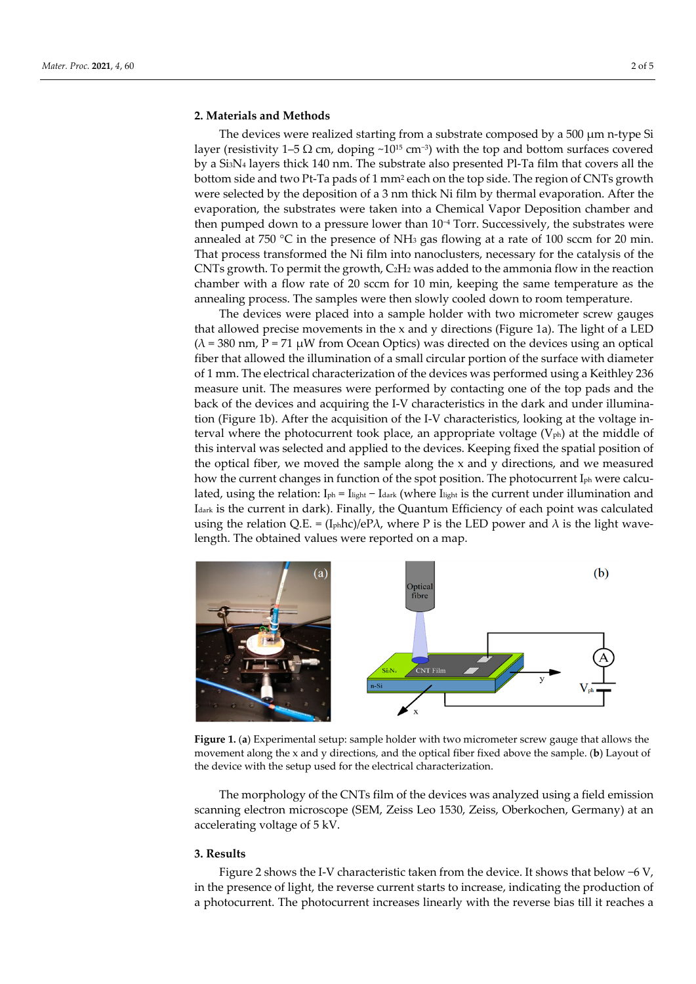### **2. Materials and Methods**

The devices were realized starting from a substrate composed by a 500  $\mu$ m n-type Si layer (resistivity 1–5  $\Omega$  cm, doping ~10<sup>15</sup> cm<sup>-3</sup>) with the top and bottom surfaces covered by a Si3N4 layers thick 140 nm. The substrate also presented Pl-Ta film that covers all the bottom side and two Pt-Ta pads of 1 mm<sup>2</sup> each on the top side. The region of CNTs growth were selected by the deposition of a 3 nm thick Ni film by thermal evaporation. After the evaporation, the substrates were taken into a Chemical Vapor Deposition chamber and then pumped down to a pressure lower than 10−4 Torr. Successively, the substrates were annealed at 750 °C in the presence of NH<sub>3</sub> gas flowing at a rate of 100 sccm for 20 min. That process transformed the Ni film into nanoclusters, necessary for the catalysis of the CNTs growth. To permit the growth, C2H2 was added to the ammonia flow in the reaction chamber with a flow rate of 20 sccm for 10 min, keeping the same temperature as the annealing process. The samples were then slowly cooled down to room temperature.

The devices were placed into a sample holder with two micrometer screw gauges that allowed precise movements in the x and y directions (Figure 1a). The light of a LED  $(\lambda = 380 \text{ nm}, P = 71 \text{ }\mu\text{W}$  from Ocean Optics) was directed on the devices using an optical fiber that allowed the illumination of a small circular portion of the surface with diameter of 1 mm. The electrical characterization of the devices was performed using a Keithley 236 measure unit. The measures were performed by contacting one of the top pads and the back of the devices and acquiring the I-V characteristics in the dark and under illumination (Figure 1b). After the acquisition of the I-V characteristics, looking at the voltage interval where the photocurrent took place, an appropriate voltage  $(V_{ph})$  at the middle of this interval was selected and applied to the devices. Keeping fixed the spatial position of the optical fiber, we moved the sample along the x and y directions, and we measured how the current changes in function of the spot position. The photocurrent I<sub>ph</sub> were calculated, using the relation: I<sub>ph</sub> = I<sub>light</sub> − I<sub>dark</sub> (where I<sub>light</sub> is the current under illumination and Idark is the current in dark). Finally, the Quantum Efficiency of each point was calculated using the relation Q.E. = (I<sub>ph</sub>hc)/eP $\lambda$ , where P is the LED power and  $\lambda$  is the light wavelength. The obtained values were reported on a map.



**Figure 1.** (**a**) Experimental setup: sample holder with two micrometer screw gauge that allows the movement along the x and y directions, and the optical fiber fixed above the sample. (**b**) Layout of the device with the setup used for the electrical characterization.

The morphology of the CNTs film of the devices was analyzed using a field emission scanning electron microscope (SEM, Zeiss Leo 1530, Zeiss, Oberkochen, Germany) at an accelerating voltage of 5 kV.

#### **3. Results**

Figure 2 shows the I-V characteristic taken from the device. It shows that below −6 V, in the presence of light, the reverse current starts to increase, indicating the production of a photocurrent. The photocurrent increases linearly with the reverse bias till it reaches a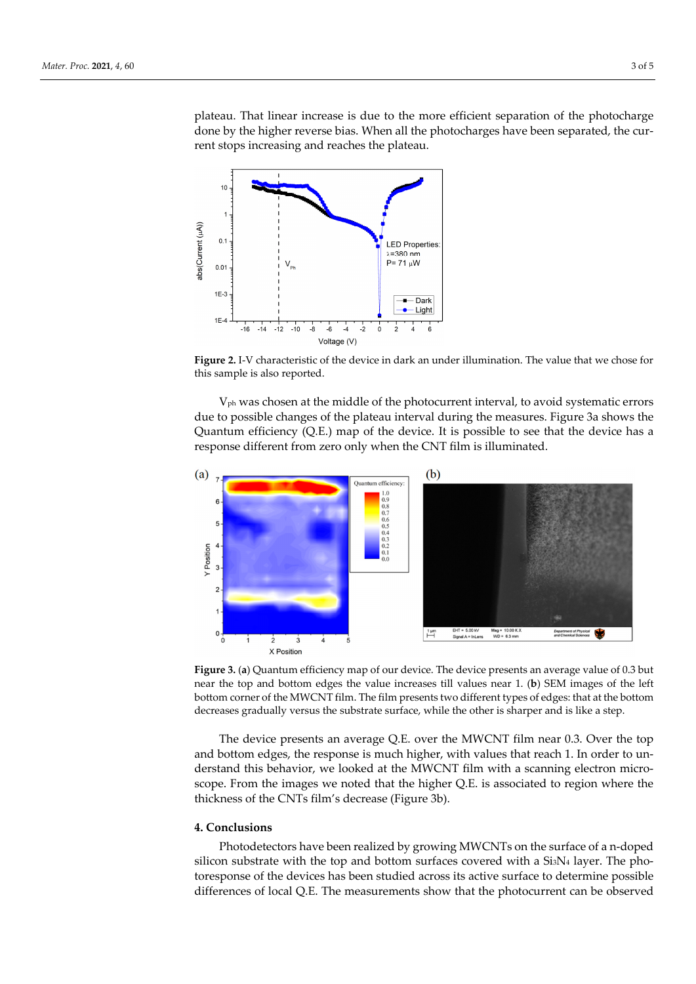plateau. That linear increase is due to the more efficient separation of the photocharge done by the higher reverse bias. When all the photocharges have been separated, the current stops increasing and reaches the plateau.



**Figure 2.** I-V characteristic of the device in dark an under illumination. The value that we chose for this sample is also reported.

Vph was chosen at the middle of the photocurrent interval, to avoid systematic errors due to possible changes of the plateau interval during the measures. Figure 3a shows the Quantum efficiency (Q.E.) map of the device. It is possible to see that the device has a response different from zero only when the CNT film is illuminated.



**Figure 3.** (**a**) Quantum efficiency map of our device. The device presents an average value of 0.3 but near the top and bottom edges the value increases till values near 1. (**b**) SEM images of the left bottom corner of the MWCNT film. The film presents two different types of edges: that at the bottom decreases gradually versus the substrate surface, while the other is sharper and is like a step.

The device presents an average Q.E. over the MWCNT film near 0.3. Over the top and bottom edges, the response is much higher, with values that reach 1. In order to understand this behavior, we looked at the MWCNT film with a scanning electron microscope. From the images we noted that the higher Q.E. is associated to region where the thickness of the CNTs film's decrease (Figure 3b).

# **4. Conclusions**

Photodetectors have been realized by growing MWCNTs on the surface of a n-doped silicon substrate with the top and bottom surfaces covered with a  $Si<sub>3</sub>N<sub>4</sub>$  layer. The photoresponse of the devices has been studied across its active surface to determine possible differences of local Q.E. The measurements show that the photocurrent can be observed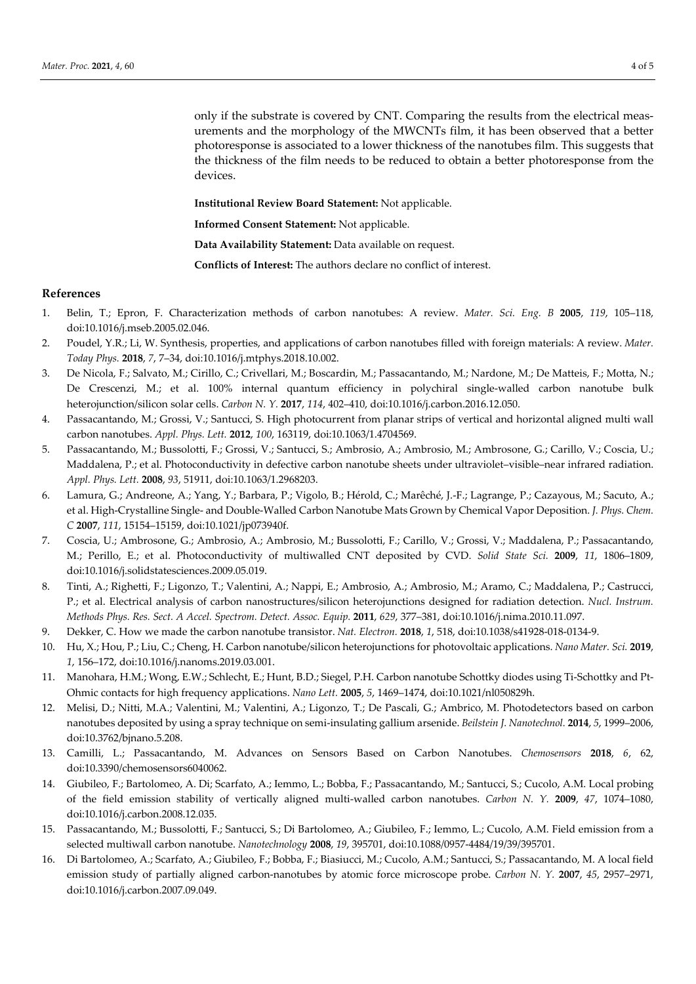only if the substrate is covered by CNT. Comparing the results from the electrical measurements and the morphology of the MWCNTs film, it has been observed that a better photoresponse is associated to a lower thickness of the nanotubes film. This suggests that the thickness of the film needs to be reduced to obtain a better photoresponse from the devices.

**Institutional Review Board Statement:** Not applicable.

**Informed Consent Statement:** Not applicable.

**Data Availability Statement:** Data available on request.

**Conflicts of Interest:** The authors declare no conflict of interest.

## **References**

- 1. Belin, T.; Epron, F. Characterization methods of carbon nanotubes: A review. *Mater. Sci. Eng. B* **2005**, *119*, 105–118, doi:10.1016/j.mseb.2005.02.046.
- 2. Poudel, Y.R.; Li, W. Synthesis, properties, and applications of carbon nanotubes filled with foreign materials: A review. *Mater. Today Phys.* **2018**, *7*, 7–34, doi:10.1016/j.mtphys.2018.10.002.
- 3. De Nicola, F.; Salvato, M.; Cirillo, C.; Crivellari, M.; Boscardin, M.; Passacantando, M.; Nardone, M.; De Matteis, F.; Motta, N.; De Crescenzi, M.; et al. 100% internal quantum efficiency in polychiral single-walled carbon nanotube bulk heterojunction/silicon solar cells. *Carbon N. Y.* **2017**, *114*, 402–410, doi:10.1016/j.carbon.2016.12.050.
- 4. Passacantando, M.; Grossi, V.; Santucci, S. High photocurrent from planar strips of vertical and horizontal aligned multi wall carbon nanotubes. *Appl. Phys. Lett.* **2012**, *100*, 163119, doi:10.1063/1.4704569.
- 5. Passacantando, M.; Bussolotti, F.; Grossi, V.; Santucci, S.; Ambrosio, A.; Ambrosio, M.; Ambrosone, G.; Carillo, V.; Coscia, U.; Maddalena, P.; et al. Photoconductivity in defective carbon nanotube sheets under ultraviolet–visible–near infrared radiation. *Appl. Phys. Lett.* **2008**, *93*, 51911, doi:10.1063/1.2968203.
- 6. Lamura, G.; Andreone, A.; Yang, Y.; Barbara, P.; Vigolo, B.; Hérold, C.; Marêché, J.-F.; Lagrange, P.; Cazayous, M.; Sacuto, A.; et al. High-Crystalline Single- and Double-Walled Carbon Nanotube Mats Grown by Chemical Vapor Deposition. *J. Phys. Chem. C* **2007**, *111*, 15154–15159, doi:10.1021/jp073940f.
- 7. Coscia, U.; Ambrosone, G.; Ambrosio, A.; Ambrosio, M.; Bussolotti, F.; Carillo, V.; Grossi, V.; Maddalena, P.; Passacantando, M.; Perillo, E.; et al. Photoconductivity of multiwalled CNT deposited by CVD. *Solid State Sci.* **2009**, *11*, 1806–1809, doi:10.1016/j.solidstatesciences.2009.05.019.
- 8. Tinti, A.; Righetti, F.; Ligonzo, T.; Valentini, A.; Nappi, E.; Ambrosio, A.; Ambrosio, M.; Aramo, C.; Maddalena, P.; Castrucci, P.; et al. Electrical analysis of carbon nanostructures/silicon heterojunctions designed for radiation detection. *Nucl. Instrum. Methods Phys. Res. Sect. A Accel. Spectrom. Detect. Assoc. Equip.* **2011**, *629*, 377–381, doi:10.1016/j.nima.2010.11.097.
- 9. Dekker, C. How we made the carbon nanotube transistor. *Nat. Electron.* **2018**, *1*, 518, doi:10.1038/s41928-018-0134-9.
- 10. Hu, X.; Hou, P.; Liu, C.; Cheng, H. Carbon nanotube/silicon heterojunctions for photovoltaic applications. *Nano Mater. Sci.* **2019**, *1*, 156–172, doi:10.1016/j.nanoms.2019.03.001.
- 11. Manohara, H.M.; Wong, E.W.; Schlecht, E.; Hunt, B.D.; Siegel, P.H. Carbon nanotube Schottky diodes using Ti-Schottky and Pt-Ohmic contacts for high frequency applications. *Nano Lett.* **2005**, *5*, 1469–1474, doi:10.1021/nl050829h.
- 12. Melisi, D.; Nitti, M.A.; Valentini, M.; Valentini, A.; Ligonzo, T.; De Pascali, G.; Ambrico, M. Photodetectors based on carbon nanotubes deposited by using a spray technique on semi-insulating gallium arsenide. *Beilstein J. Nanotechnol.* **2014**, *5*, 1999–2006, doi:10.3762/bjnano.5.208.
- 13. Camilli, L.; Passacantando, M. Advances on Sensors Based on Carbon Nanotubes. *Chemosensors* **2018**, *6*, 62, doi:10.3390/chemosensors6040062.
- 14. Giubileo, F.; Bartolomeo, A. Di; Scarfato, A.; Iemmo, L.; Bobba, F.; Passacantando, M.; Santucci, S.; Cucolo, A.M. Local probing of the field emission stability of vertically aligned multi-walled carbon nanotubes. *Carbon N. Y.* **2009**, *47*, 1074–1080, doi:10.1016/j.carbon.2008.12.035.
- 15. Passacantando, M.; Bussolotti, F.; Santucci, S.; Di Bartolomeo, A.; Giubileo, F.; Iemmo, L.; Cucolo, A.M. Field emission from a selected multiwall carbon nanotube. *Nanotechnology* **2008**, *19*, 395701, doi:10.1088/0957-4484/19/39/395701.
- 16. Di Bartolomeo, A.; Scarfato, A.; Giubileo, F.; Bobba, F.; Biasiucci, M.; Cucolo, A.M.; Santucci, S.; Passacantando, M. A local field emission study of partially aligned carbon-nanotubes by atomic force microscope probe. *Carbon N. Y.* **2007**, *45*, 2957–2971, doi:10.1016/j.carbon.2007.09.049.